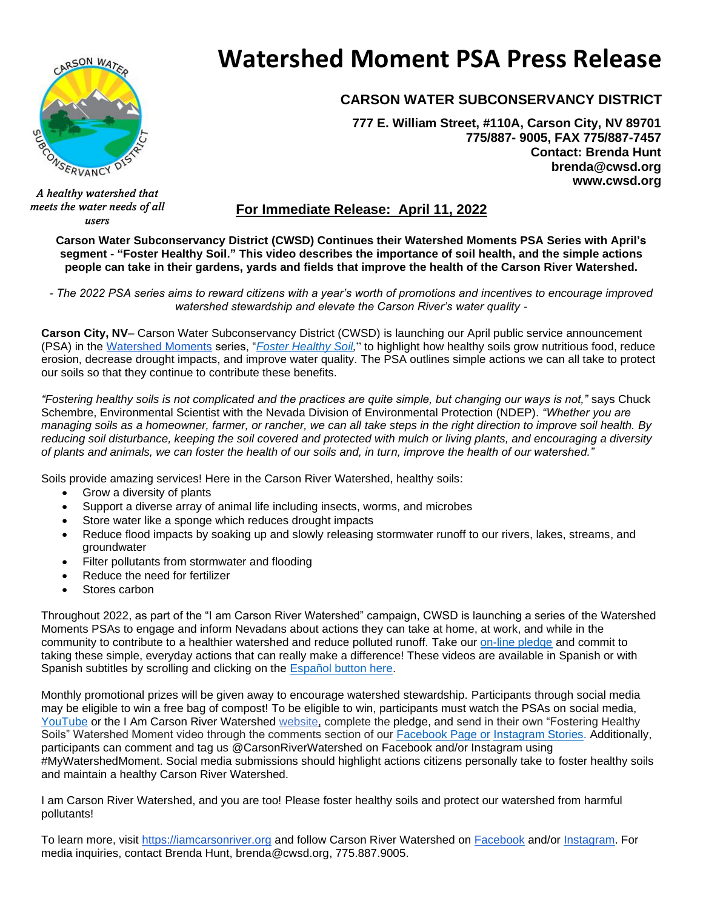

# **Watershed Moment PSA Press Release**

## **CARSON WATER SUBCONSERVANCY DISTRICT**

**777 E. William Street, #110A, Carson City, NV 89701 775/887- 9005, FAX 775/887-7457 Contact: Brenda Hunt brenda@cwsd.org www.cwsd.org**

*meets the water needs of all users*

## **For Immediate Release: April 11, 2022**

**Carson Water Subconservancy District (CWSD) Continues their Watershed Moments PSA Series with April's segment - "Foster Healthy Soil." This video describes the importance of soil health, and the simple actions people can take in their gardens, yards and fields that improve the health of the Carson River Watershed.**

*- The 2022 PSA series aims to reward citizens with a year's worth of promotions and incentives to encourage improved watershed stewardship and elevate the Carson River's water quality -*

**Carson City, NV**– Carson Water Subconservancy District (CWSD) is launching our April public service announcement (PSA) in the [Watershed Moments](https://iamcarsonriver.org/) series, "*[Foster Healthy Soil,](https://youtu.be/9kLXAw1Q-ig)*" to highlight how healthy soils grow nutritious food, reduce erosion, decrease drought impacts, and improve water quality. The PSA outlines simple actions we can all take to protect our soils so that they continue to contribute these benefits.

*"Fostering healthy soils is not complicated and the practices are quite simple, but changing our ways is not,"* says Chuck Schembre, Environmental Scientist with the Nevada Division of Environmental Protection (NDEP). *"Whether you are managing soils as a homeowner, farmer, or rancher, we can all take steps in the right direction to improve soil health. By reducing soil disturbance, keeping the soil covered and protected with mulch or living plants, and encouraging a diversity of plants and animals, we can foster the health of our soils and, in turn, improve the health of our watershed."*

Soils provide amazing services! Here in the Carson River Watershed, healthy soils:

- Grow a diversity of plants
- Support a diverse array of animal life including insects, worms, and microbes
- Store water like a sponge which reduces drought impacts
- Reduce flood impacts by soaking up and slowly releasing stormwater runoff to our rivers, lakes, streams, and groundwater
- Filter pollutants from stormwater and flooding
- Reduce the need for fertilizer
- Stores carbon

Throughout 2022, as part of the "I am Carson River Watershed" campaign, CWSD is launching a series of the Watershed Moments PSAs to engage and inform Nevadans about actions they can take at home, at work, and while in the community to contribute to a healthier watershed and reduce polluted runoff. Take our [on-line pledge](https://docs.google.com/forms/d/e/1FAIpQLSdU7MyffiroXAbyh5Z-ADw4-68HX7SobPzRH_6s80Tb-GvVjw/viewform) and commit to taking these simple, everyday actions that can really make a difference! These videos are available in Spanish or with Spanish subtitles by scrolling and clicking on the [Español button here.](https://iamcarsonriver.org/)

Monthly promotional prizes will be given away to encourage watershed stewardship. Participants through social media may be eligible to win a free bag of compost! To be eligible to win, participants must watch the PSAs on social media, [YouTube](https://www.youtube.com/watch?v=9kLXAw1Q-ig) or the I Am Carson River Watershed [website,](http://iamcarsonriver.org/) complete the pledge, and send in their own "Fostering Healthy Soils" Watershed Moment video through the comments section of our [Facebook Page](https://www.facebook.com/carsonriver) or [Instagram Stories.](https://www.instagram.com/carsonriverwatershed/?hl=en) Additionally, participants can comment and tag us @CarsonRiverWatershed on Facebook and/or Instagram using #MyWatershedMoment. Social media submissions should highlight actions citizens personally take to foster healthy soils and maintain a healthy Carson River Watershed.

I am Carson River Watershed, and you are too! Please foster healthy soils and protect our watershed from harmful pollutants!

To learn more, visit [https://iamcarsonriver.org](https://iamcarsonriver.org/) and follow Carson River Watershed on [Facebook](https://www.facebook.com/carsonriver/) and/or [Instagram.](https://www.instagram.com/carsonriverwatershed/) For media inquiries, contact Brenda Hunt, brenda@cwsd.org, 775.887.9005.